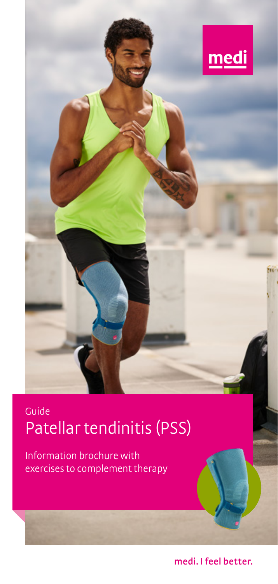

### Guide Patellar tendinitis (PSS)

Information brochure with exercises to complement therapy

**medi. I feel better.**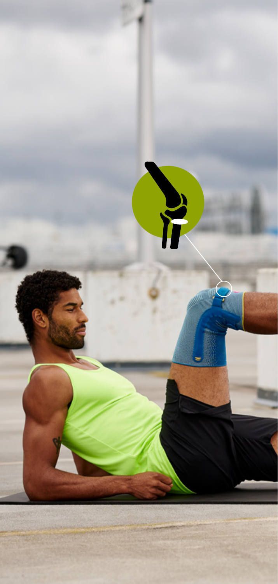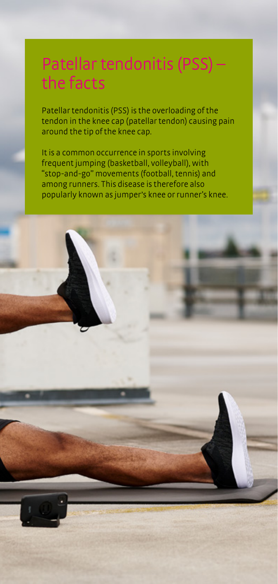# Patellar tendonitis (PSS) – the facts

Patellar tendonitis (PSS) is the overloading of the tendon in the knee cap (patellar tendon) causing pain around the tip of the knee cap.

It is a common occurrence in sports involving frequent jumping (basketball, volleyball), with "stop-and-go" movements (football, tennis) and among runners. This disease is therefore also popularly known as jumper's knee or runner's knee.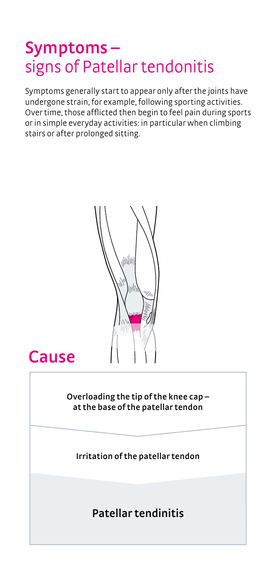# **Symptoms –** signs of Patellar tendonitis

Symptoms generally start to appear only after the joints have undergone strain, for example, following sporting activities. Over time, those afflicted then begin to feel pain during sports or in simple everyday activities: in particular when climbing stairs or after prolonged sitting.



## **Cause**

**Overloading the tip of the knee cap – at the base of the patellar tendon**

**Irritation of the patellar tendon**

**Patellar tendinitis**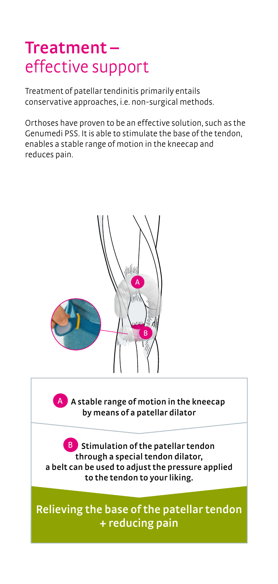# **Treatment –** effective support

Treatment of patellar tendinitis primarily entails conservative approaches, i.e. non-surgical methods.

Orthoses have proven to be an effective solution, such as the Genumedi PSS. It is able to stimulate the base of the tendon, enables a stable range of motion in the kneecap and reduces pain.

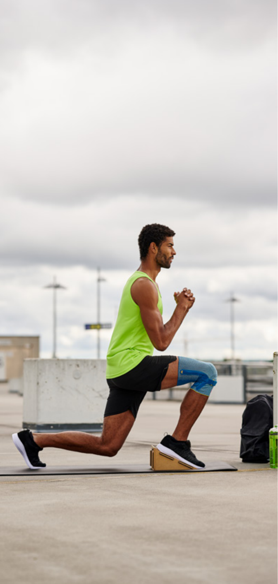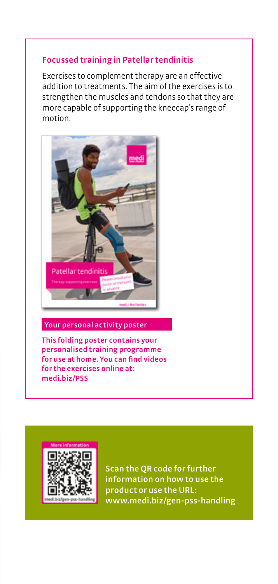#### **Focussed training in Patellar tendinitis**

Exercises to complement therapy are an effective addition to treatments. The aim of the exercises is to strengthen the muscles and tendons so that they are more capable of supporting the kneecap's range of motion.



**Your personal activity poster**

**This folding poster contains your personalised training programme for use at home. You can find videos for the exercises online at: medi.biz/PSS** 



**Scan the QR code for further information on how to use the product or use the URL: www.medi.biz/gen-pss-handling**